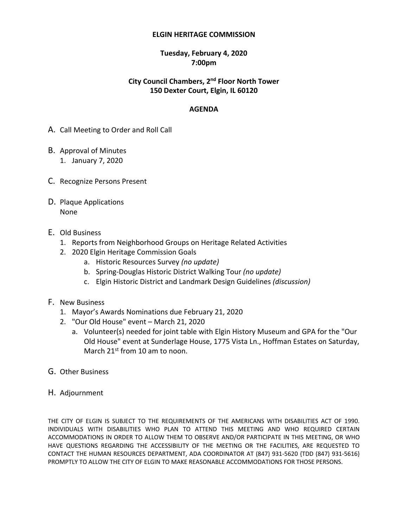#### **ELGIN HERITAGE COMMISSION**

### **Tuesday, February 4, 2020 7:00pm**

### **City Council Chambers, 2 nd Floor North Tower 150 Dexter Court, Elgin, IL 60120**

### **AGENDA**

- A. Call Meeting to Order and Roll Call
- B. Approval of Minutes 1. January 7, 2020
- C. Recognize Persons Present
- D. Plaque Applications None
- E. Old Business
	- 1. Reports from Neighborhood Groups on Heritage Related Activities
	- 2. 2020 Elgin Heritage Commission Goals
		- a. Historic Resources Survey *(no update)*
		- b. Spring-Douglas Historic District Walking Tour *(no update)*
		- c. Elgin Historic District and Landmark Design Guidelines *(discussion)*
- F. New Business
	- 1. Mayor's Awards Nominations due February 21, 2020
	- 2. "Our Old House" event March 21, 2020
		- a. Volunteer(s) needed for joint table with Elgin History Museum and GPA for the "Our Old House" event at Sunderlage House, 1775 Vista Ln., Hoffman Estates on Saturday, March 21st from 10 am to noon.
- G. Other Business
- H. Adjournment

THE CITY OF ELGIN IS SUBJECT TO THE REQUIREMENTS OF THE AMERICANS WITH DISABILITIES ACT OF 1990. INDIVIDUALS WITH DISABILITIES WHO PLAN TO ATTEND THIS MEETING AND WHO REQUIRED CERTAIN ACCOMMODATIONS IN ORDER TO ALLOW THEM TO OBSERVE AND/OR PARTICIPATE IN THIS MEETING, OR WHO HAVE QUESTIONS REGARDING THE ACCESSIBILITY OF THE MEETING OR THE FACILITIES, ARE REQUESTED TO CONTACT THE HUMAN RESOURCES DEPARTMENT, ADA COORDINATOR AT (847) 931-5620 {TDD (847) 931-5616} PROMPTLY TO ALLOW THE CITY OF ELGIN TO MAKE REASONABLE ACCOMMODATIONS FOR THOSE PERSONS.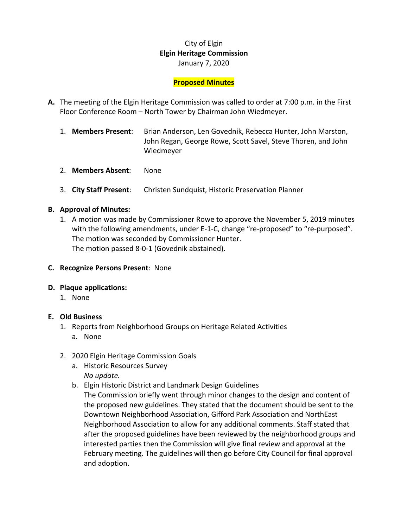# City of Elgin **Elgin Heritage Commission** January 7, 2020

### **Proposed Minutes**

- **A.** The meeting of the Elgin Heritage Commission was called to order at 7:00 p.m. in the First Floor Conference Room – North Tower by Chairman John Wiedmeyer.
	- 1. **Members Present**: Brian Anderson, Len Govednik, Rebecca Hunter, John Marston, John Regan, George Rowe, Scott Savel, Steve Thoren, and John Wiedmeyer
	- 2. **Members Absent**: None
	- 3. **City Staff Present**: Christen Sundquist, Historic Preservation Planner

### **B. Approval of Minutes:**

- 1. A motion was made by Commissioner Rowe to approve the November 5, 2019 minutes with the following amendments, under E-1-C, change "re-proposed" to "re-purposed". The motion was seconded by Commissioner Hunter. The motion passed 8-0-1 (Govednik abstained).
- **C. Recognize Persons Present**: None

#### **D. Plaque applications:**

1. None

#### **E. Old Business**

- 1. Reports from Neighborhood Groups on Heritage Related Activities
	- a. None
- 2. 2020 Elgin Heritage Commission Goals
	- a. Historic Resources Survey *No update.*
	- b. Elgin Historic District and Landmark Design Guidelines
		- The Commission briefly went through minor changes to the design and content of the proposed new guidelines. They stated that the document should be sent to the Downtown Neighborhood Association, Gifford Park Association and NorthEast Neighborhood Association to allow for any additional comments. Staff stated that after the proposed guidelines have been reviewed by the neighborhood groups and interested parties then the Commission will give final review and approval at the February meeting. The guidelines will then go before City Council for final approval and adoption.